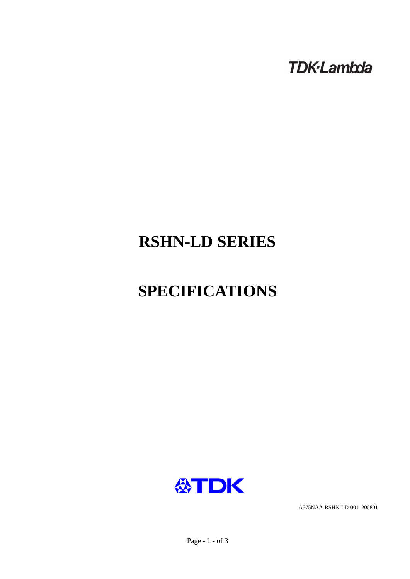**TDK-Lambda** 

# **RSHN-LD SERIES**

# **SPECIFICATIONS**



A575NAA-RSHN-LD-001 200801

Page - 1 - of 3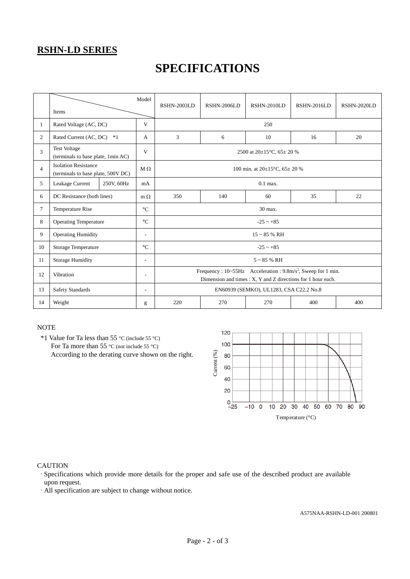### **RSHN-LD SERIES**

## **SPECIFICATIONS**

|                | Items                                                             |  | Model                    | RSHN-2003LD                                                                                                                               | <b>RSHN-2006LD</b> | RSHN-2010LD | RSHN-2016LD | RSHN-2020LD |
|----------------|-------------------------------------------------------------------|--|--------------------------|-------------------------------------------------------------------------------------------------------------------------------------------|--------------------|-------------|-------------|-------------|
| $\mathbf{1}$   | Rated Voltage (AC, DC)                                            |  | V                        | 250                                                                                                                                       |                    |             |             |             |
| $\overline{2}$ | Rated Current (AC, DC)<br>$*1$                                    |  | A                        | 3                                                                                                                                         | 6                  | 10          | 16          | 20          |
| 3              | <b>Test Voltage</b><br>(terminals to base plate, 1min AC)         |  | V                        | 2500 at $20\pm15^{\circ}$ C, 65 $\pm$ 20 %                                                                                                |                    |             |             |             |
| $\overline{4}$ | <b>Isolation Resistance</b><br>(terminals to base plate, 500V DC) |  | $M \Omega$               | 100 min. at $20\pm15^{\circ}$ C, $65\pm20$ %                                                                                              |                    |             |             |             |
| 5              | Leakage Current<br>250V, 60Hz                                     |  | mA                       | $0.1$ max.                                                                                                                                |                    |             |             |             |
| 6              | DC Resistance (both lines)                                        |  | $m \Omega$               | 350                                                                                                                                       | 140                | 60          | 35          | 22          |
| 7              | Temperature Rise                                                  |  | $\rm ^{\circ}C$          | 30 max.                                                                                                                                   |                    |             |             |             |
| 8              | <b>Operating Temperature</b>                                      |  | $\rm ^{\circ}C$          | $-25 - +85$                                                                                                                               |                    |             |             |             |
| 9              | <b>Operating Humidity</b>                                         |  | ٠                        | $15 - 85$ % RH                                                                                                                            |                    |             |             |             |
| 10             | <b>Storage Temperature</b>                                        |  | $\rm ^{\circ}C$          | $-25 - +85$                                                                                                                               |                    |             |             |             |
| 11             | <b>Storage Humidity</b>                                           |  | $\overline{a}$           | $5 \sim 85$ % RH                                                                                                                          |                    |             |             |             |
| 12             | Vibration                                                         |  | $\overline{\phantom{a}}$ | Frequency : 10~55Hz Acceleration : 9.8m/s <sup>2</sup> , Sweep for 1 min.<br>Dimension and times : X, Y and Z directions for 1 hour each. |                    |             |             |             |
| 13             | <b>Safety Standards</b>                                           |  | $\overline{\phantom{a}}$ | EN60939 (SEMKO), UL1283, CSA C22.2 No.8                                                                                                   |                    |             |             |             |
| 14             | Weight                                                            |  | g                        | 220                                                                                                                                       | 270                | 270         | 400         | 400         |

#### **NOTE**

 \*1 Value for Ta less than 55 °C (include 55 °C) For Ta more than 55 °C (not include 55 °C) According to the derating curve shown on the right.



#### **CAUTION**

·Specifications which provide more details for the proper and safe use of the described product are available upon request.

·All specification are subject to change without notice.

A575NAA-RSHN-LD-001 200801